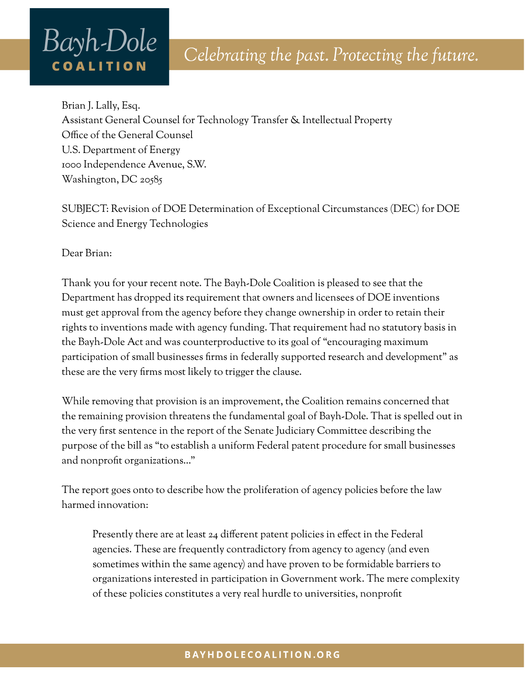# Bayh-Dole **COALITION**

Brian J. Lally, Esq. Assistant General Counsel for Technology Transfer & Intellectual Property Office of the General Counsel U.S. Department of Energy 1000 Independence Avenue, S.W. Washington, DC 20585

SUBJECT: Revision of DOE Determination of Exceptional Circumstances (DEC) for DOE Science and Energy Technologies

Dear Brian:

Thank you for your recent note. The Bayh-Dole Coalition is pleased to see that the Department has dropped its requirement that owners and licensees of DOE inventions must get approval from the agency before they change ownership in order to retain their rights to inventions made with agency funding. That requirement had no statutory basis in the Bayh-Dole Act and was counterproductive to its goal of "encouraging maximum participation of small businesses firms in federally supported research and development" as these are the very firms most likely to trigger the clause.

While removing that provision is an improvement, the Coalition remains concerned that the remaining provision threatens the fundamental goal of Bayh-Dole. That is spelled out in the very first sentence in the report of the Senate Judiciary Committee describing the purpose of the bill as "to establish a uniform Federal patent procedure for small businesses and nonprofit organizations…"

The report goes onto to describe how the proliferation of agency policies before the law harmed innovation:

Presently there are at least 24 different patent policies in effect in the Federal agencies. These are frequently contradictory from agency to agency (and even sometimes within the same agency) and have proven to be formidable barriers to organizations interested in participation in Government work. The mere complexity of these policies constitutes a very real hurdle to universities, nonprofit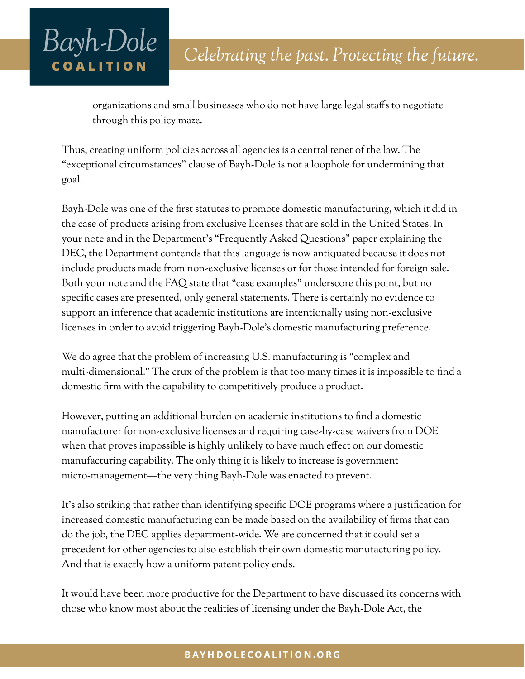## Bayh-Dole **COALITION**

organizations and small businesses who do not have large legal staffs to negotiate through this policy maze.

Thus, creating uniform policies across all agencies is a central tenet of the law. The "exceptional circumstances" clause of Bayh-Dole is not a loophole for undermining that goal.

Bayh-Dole was one of the first statutes to promote domestic manufacturing, which it did in the case of products arising from exclusive licenses that are sold in the United States. In your note and in the Department's "Frequently Asked Questions" paper explaining the DEC, the Department contends that this language is now antiquated because it does not include products made from non-exclusive licenses or for those intended for foreign sale. Both your note and the FAQ state that "case examples" underscore this point, but no specific cases are presented, only general statements. There is certainly no evidence to support an inference that academic institutions are intentionally using non-exclusive licenses in order to avoid triggering Bayh-Dole's domestic manufacturing preference.

We do agree that the problem of increasing U.S. manufacturing is "complex and multi-dimensional." The crux of the problem is that too many times it is impossible to find a domestic firm with the capability to competitively produce a product.

However, putting an additional burden on academic institutions to find a domestic manufacturer for non-exclusive licenses and requiring case-by-case waivers from DOE when that proves impossible is highly unlikely to have much effect on our domestic manufacturing capability. The only thing it is likely to increase is government micro-management—the very thing Bayh-Dole was enacted to prevent.

It's also striking that rather than identifying specific DOE programs where a justification for increased domestic manufacturing can be made based on the availability of firms that can do the job, the DEC applies department-wide. We are concerned that it could set a precedent for other agencies to also establish their own domestic manufacturing policy. And that is exactly how a uniform patent policy ends.

It would have been more productive for the Department to have discussed its concerns with those who know most about the realities of licensing under the Bayh-Dole Act, the

#### BAYHDOLECOALITION.ORG